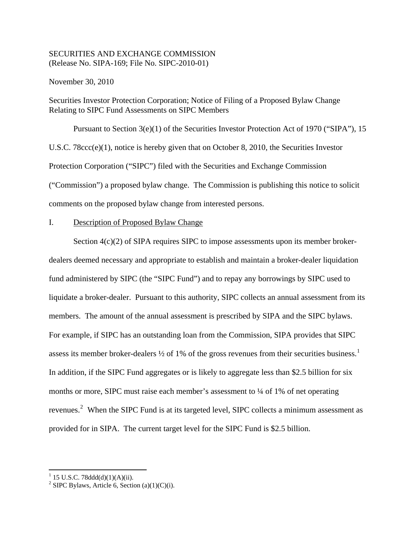# SECURITIES AND EXCHANGE COMMISSION (Release No. SIPA-169; File No. SIPC-2010-01)

November 30, 2010

Securities Investor Protection Corporation; Notice of Filing of a Proposed Bylaw Change Relating to SIPC Fund Assessments on SIPC Members

Pursuant to Section 3(e)(1) of the Securities Investor Protection Act of 1970 ("SIPA"), 15 U.S.C. 78ccc(e)(1), notice is hereby given that on October 8, 2010, the Securities Investor Protection Corporation ("SIPC") filed with the Securities and Exchange Commission ("Commission") a proposed bylaw change. The Commission is publishing this notice to solicit comments on the proposed bylaw change from interested persons.

# I. Description of Proposed Bylaw Change

Section 4(c)(2) of SIPA requires SIPC to impose assessments upon its member brokerdealers deemed necessary and appropriate to establish and maintain a broker-dealer liquidation fund administered by SIPC (the "SIPC Fund") and to repay any borrowings by SIPC used to liquidate a broker-dealer. Pursuant to this authority, SIPC collects an annual assessment from its members. The amount of the annual assessment is prescribed by SIPA and the SIPC bylaws. For example, if SIPC has an outstanding loan from the Commission, SIPA provides that SIPC assess its member broker-dealers  $\frac{1}{2}$  $\frac{1}{2}$  $\frac{1}{2}$  of 1% of the gross revenues from their securities business.<sup>1</sup> In addition, if the SIPC Fund aggregates or is likely to aggregate less than \$2.5 billion for six months or more, SIPC must raise each member's assessment to  $\frac{1}{4}$  of 1% of net operating revenues.<sup>[2](#page-0-1)</sup> When the SIPC Fund is at its targeted level, SIPC collects a minimum assessment as provided for in SIPA. The current target level for the SIPC Fund is \$2.5 billion.

<span id="page-0-0"></span> $1$  15 U.S.C. 78ddd(d)(1)(A)(ii).

<span id="page-0-1"></span><sup>&</sup>lt;sup>2</sup> SIPC Bylaws, Article 6, Section (a)(1)(C)(i).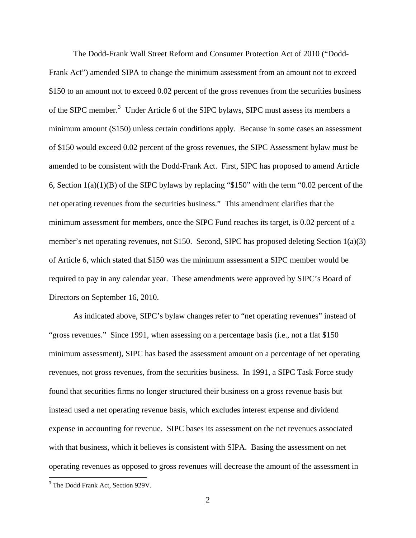The Dodd-Frank Wall Street Reform and Consumer Protection Act of 2010 ("Dodd-Frank Act") amended SIPA to change the minimum assessment from an amount not to exceed \$150 to an amount not to exceed 0.02 percent of the gross revenues from the securities business of the SIPC member.<sup>[3](#page-1-0)</sup> Under Article 6 of the SIPC bylaws, SIPC must assess its members a minimum amount (\$150) unless certain conditions apply. Because in some cases an assessment of \$150 would exceed 0.02 percent of the gross revenues, the SIPC Assessment bylaw must be amended to be consistent with the Dodd-Frank Act. First, SIPC has proposed to amend Article 6, Section 1(a)(1)(B) of the SIPC bylaws by replacing "\$150" with the term "0.02 percent of the net operating revenues from the securities business." This amendment clarifies that the minimum assessment for members, once the SIPC Fund reaches its target, is 0.02 percent of a member's net operating revenues, not \$150. Second, SIPC has proposed deleting Section 1(a)(3) of Article 6, which stated that \$150 was the minimum assessment a SIPC member would be required to pay in any calendar year. These amendments were approved by SIPC's Board of Directors on September 16, 2010.

As indicated above, SIPC's bylaw changes refer to "net operating revenues" instead of "gross revenues." Since 1991, when assessing on a percentage basis (i.e., not a flat \$150 minimum assessment), SIPC has based the assessment amount on a percentage of net operating revenues, not gross revenues, from the securities business. In 1991, a SIPC Task Force study found that securities firms no longer structured their business on a gross revenue basis but instead used a net operating revenue basis, which excludes interest expense and dividend expense in accounting for revenue. SIPC bases its assessment on the net revenues associated with that business, which it believes is consistent with SIPA. Basing the assessment on net operating revenues as opposed to gross revenues will decrease the amount of the assessment in

<span id="page-1-0"></span> <sup>3</sup> The Dodd Frank Act, Section 929V.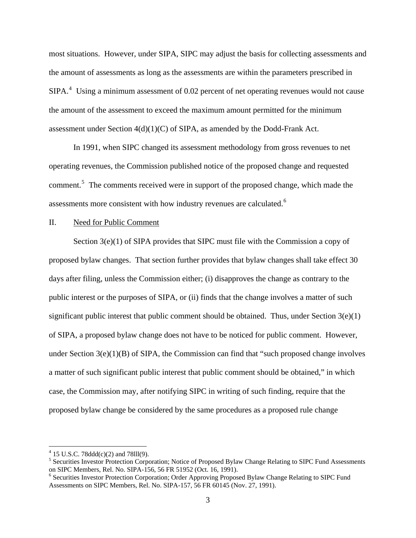most situations. However, under SIPA, SIPC may adjust the basis for collecting assessments and the amount of assessments as long as the assessments are within the parameters prescribed in  $SIPA.<sup>4</sup>$  $SIPA.<sup>4</sup>$  $SIPA.<sup>4</sup>$  Using a minimum assessment of 0.02 percent of net operating revenues would not cause the amount of the assessment to exceed the maximum amount permitted for the minimum assessment under Section  $4(d)(1)(C)$  of SIPA, as amended by the Dodd-Frank Act.

In 1991, when SIPC changed its assessment methodology from gross revenues to net operating revenues, the Commission published notice of the proposed change and requested comment.<sup>[5](#page-2-1)</sup> The comments received were in support of the proposed change, which made the assessments more consistent with how industry revenues are calculated.<sup>[6](#page-2-2)</sup>

### II. Need for Public Comment

Section 3(e)(1) of SIPA provides that SIPC must file with the Commission a copy of proposed bylaw changes. That section further provides that bylaw changes shall take effect 30 days after filing, unless the Commission either; (i) disapproves the change as contrary to the public interest or the purposes of SIPA, or (ii) finds that the change involves a matter of such significant public interest that public comment should be obtained. Thus, under Section  $3(e)(1)$ of SIPA, a proposed bylaw change does not have to be noticed for public comment. However, under Section  $3(e)(1)(B)$  of SIPA, the Commission can find that "such proposed change involves" a matter of such significant public interest that public comment should be obtained," in which case, the Commission may, after notifying SIPC in writing of such finding, require that the proposed bylaw change be considered by the same procedures as a proposed rule change

  $4$  15 U.S.C. 78ddd(c)(2) and 78lll(9).

<span id="page-2-1"></span><span id="page-2-0"></span><sup>&</sup>lt;sup>5</sup> Securities Investor Protection Corporation; Notice of Proposed Bylaw Change Relating to SIPC Fund Assessments on SIPC Members, Rel. No. SIPA-156, 56 FR 51952 (Oct. 16, 1991).

<span id="page-2-2"></span><sup>&</sup>lt;sup>6</sup> Securities Investor Protection Corporation; Order Approving Proposed Bylaw Change Relating to SIPC Fund Assessments on SIPC Members, Rel. No. SIPA-157, 56 FR 60145 (Nov. 27, 1991).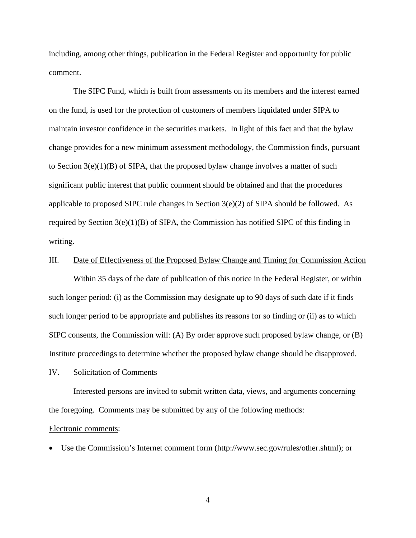including, among other things, publication in the Federal Register and opportunity for public comment.

The SIPC Fund, which is built from assessments on its members and the interest earned on the fund, is used for the protection of customers of members liquidated under SIPA to maintain investor confidence in the securities markets. In light of this fact and that the bylaw change provides for a new minimum assessment methodology, the Commission finds, pursuant to Section  $3(e)(1)(B)$  of SIPA, that the proposed bylaw change involves a matter of such significant public interest that public comment should be obtained and that the procedures applicable to proposed SIPC rule changes in Section 3(e)(2) of SIPA should be followed. As required by Section 3(e)(1)(B) of SIPA, the Commission has notified SIPC of this finding in writing.

## III. Date of Effectiveness of the Proposed Bylaw Change and Timing for Commission Action

 Within 35 days of the date of publication of this notice in the Federal Register, or within such longer period: (i) as the Commission may designate up to 90 days of such date if it finds such longer period to be appropriate and publishes its reasons for so finding or (ii) as to which SIPC consents, the Commission will: (A) By order approve such proposed bylaw change, or (B) Institute proceedings to determine whether the proposed bylaw change should be disapproved.

### IV. Solicitation of Comments

 Interested persons are invited to submit written data, views, and arguments concerning the foregoing. Comments may be submitted by any of the following methods:

#### Electronic comments:

• Use the Commission's Internet comment form (http://www.sec.gov/rules/other.shtml); or

4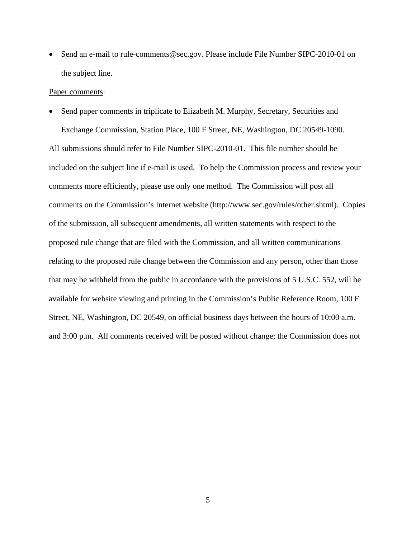• Send an e-mail to rule-comments@sec.gov. Please include File Number SIPC-2010-01 on the subject line.

#### Paper comments:

• Send paper comments in triplicate to Elizabeth M. Murphy, Secretary, Securities and Exchange Commission, Station Place, 100 F Street, NE, Washington, DC 20549-1090.

All submissions should refer to File Number SIPC-2010-01. This file number should be included on the subject line if e-mail is used. To help the Commission process and review your comments more efficiently, please use only one method. The Commission will post all comments on the Commission's Internet website (http://www.sec.gov/rules/other.shtml). Copies of the submission, all subsequent amendments, all written statements with respect to the proposed rule change that are filed with the Commission, and all written communications relating to the proposed rule change between the Commission and any person, other than those that may be withheld from the public in accordance with the provisions of 5 U.S.C. 552, will be available for website viewing and printing in the Commission's Public Reference Room, 100 F Street, NE, Washington, DC 20549, on official business days between the hours of 10:00 a.m. and 3:00 p.m. All comments received will be posted without change; the Commission does not